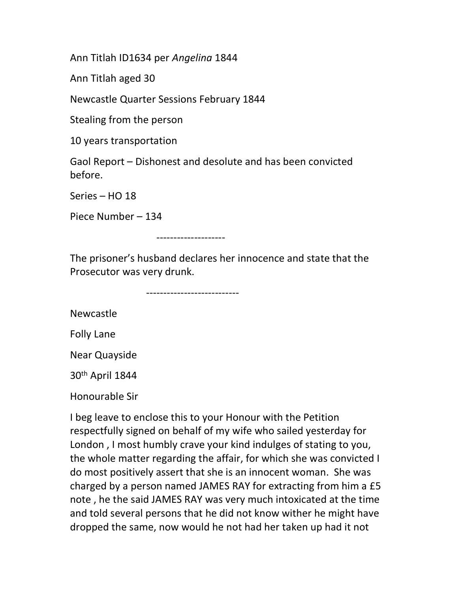Ann Titlah ID1634 per Angelina 1844

Ann Titlah aged 30

Newcastle Quarter Sessions February 1844

Stealing from the person

10 years transportation

Gaol Report – Dishonest and desolute and has been convicted before.

Series – HO 18

Piece Number – 134

--------------------

The prisoner's husband declares her innocence and state that the Prosecutor was very drunk.

---------------------------

Newcastle

Folly Lane

Near Quayside

30th April 1844

Honourable Sir

I beg leave to enclose this to your Honour with the Petition respectfully signed on behalf of my wife who sailed yesterday for London , I most humbly crave your kind indulges of stating to you, the whole matter regarding the affair, for which she was convicted I do most positively assert that she is an innocent woman. She was charged by a person named JAMES RAY for extracting from him a £5 note , he the said JAMES RAY was very much intoxicated at the time and told several persons that he did not know wither he might have dropped the same, now would he not had her taken up had it not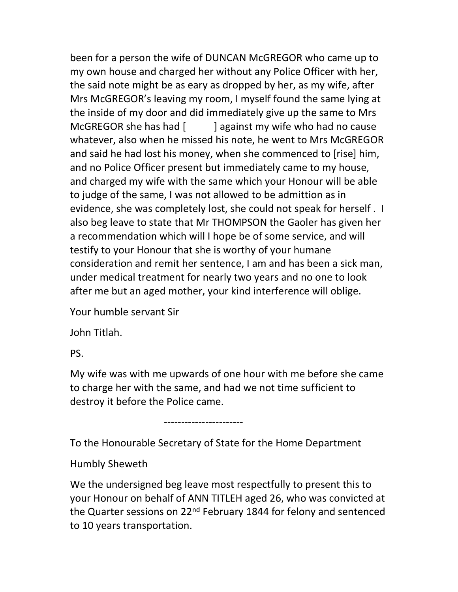been for a person the wife of DUNCAN McGREGOR who came up to my own house and charged her without any Police Officer with her, the said note might be as eary as dropped by her, as my wife, after Mrs McGREGOR's leaving my room, I myself found the same lying at the inside of my door and did immediately give up the same to Mrs McGREGOR she has had [ ] against my wife who had no cause whatever, also when he missed his note, he went to Mrs McGREGOR and said he had lost his money, when she commenced to [rise] him, and no Police Officer present but immediately came to my house, and charged my wife with the same which your Honour will be able to judge of the same, I was not allowed to be admittion as in evidence, she was completely lost, she could not speak for herself . I also beg leave to state that Mr THOMPSON the Gaoler has given her a recommendation which will I hope be of some service, and will testify to your Honour that she is worthy of your humane consideration and remit her sentence, I am and has been a sick man, under medical treatment for nearly two years and no one to look after me but an aged mother, your kind interference will oblige.

Your humble servant Sir

John Titlah.

PS.

My wife was with me upwards of one hour with me before she came to charge her with the same, and had we not time sufficient to destroy it before the Police came.

-----------------------

To the Honourable Secretary of State for the Home Department

Humbly Sheweth

We the undersigned beg leave most respectfully to present this to your Honour on behalf of ANN TITLEH aged 26, who was convicted at the Quarter sessions on 22<sup>nd</sup> February 1844 for felony and sentenced to 10 years transportation.